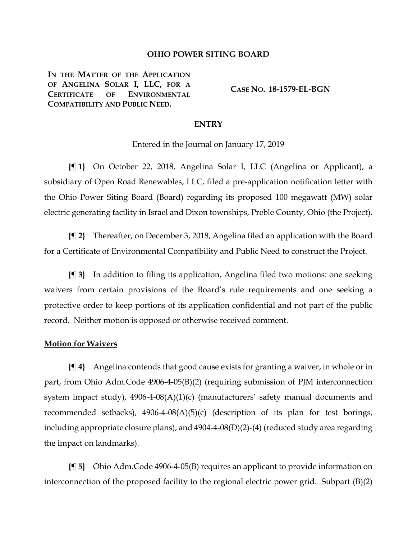## **OHIO POWER SITING BOARD**

**IN THE MATTER OF THE APPLICATION OF ANGELINA SOLAR I, LLC, FOR A CERTIFICATE OF ENVIRONMENTAL COMPATIBILITY AND PUBLIC NEED.**

**CASE NO. 18-1579-EL-BGN**

## **ENTRY**

Entered in the Journal on January 17, 2019

**{¶ 1}** On October 22, 2018, Angelina Solar I, LLC (Angelina or Applicant), a subsidiary of Open Road Renewables, LLC, filed a pre-application notification letter with the Ohio Power Siting Board (Board) regarding its proposed 100 megawatt (MW) solar electric generating facility in Israel and Dixon townships, Preble County, Ohio (the Project).

**{¶ 2}** Thereafter, on December 3, 2018, Angelina filed an application with the Board for a Certificate of Environmental Compatibility and Public Need to construct the Project.

**{¶ 3}** In addition to filing its application, Angelina filed two motions: one seeking waivers from certain provisions of the Board's rule requirements and one seeking a protective order to keep portions of its application confidential and not part of the public record. Neither motion is opposed or otherwise received comment.

## **Motion for Waivers**

**{¶ 4}** Angelina contends that good cause exists for granting a waiver, in whole or in part, from Ohio Adm.Code 4906-4-05(B)(2) (requiring submission of PJM interconnection system impact study), 4906-4-08(A)(1)(c) (manufacturers' safety manual documents and recommended setbacks),  $4906-4-08(A)(5)(c)$  (description of its plan for test borings, including appropriate closure plans), and 4904-4-08(D)(2)-(4) (reduced study area regarding the impact on landmarks).

**{¶ 5}** Ohio Adm.Code 4906-4-05(B) requires an applicant to provide information on interconnection of the proposed facility to the regional electric power grid. Subpart (B)(2)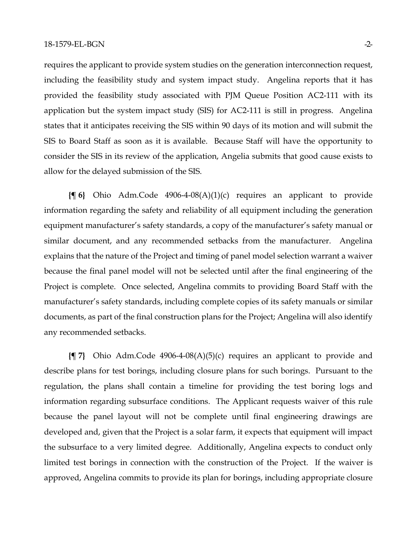requires the applicant to provide system studies on the generation interconnection request, including the feasibility study and system impact study. Angelina reports that it has provided the feasibility study associated with PJM Queue Position AC2-111 with its application but the system impact study (SIS) for AC2-111 is still in progress. Angelina states that it anticipates receiving the SIS within 90 days of its motion and will submit the SIS to Board Staff as soon as it is available. Because Staff will have the opportunity to consider the SIS in its review of the application, Angelia submits that good cause exists to allow for the delayed submission of the SIS.

**{¶ 6}** Ohio Adm.Code 4906-4-08(A)(1)(c) requires an applicant to provide information regarding the safety and reliability of all equipment including the generation equipment manufacturer's safety standards, a copy of the manufacturer's safety manual or similar document, and any recommended setbacks from the manufacturer. Angelina explains that the nature of the Project and timing of panel model selection warrant a waiver because the final panel model will not be selected until after the final engineering of the Project is complete. Once selected, Angelina commits to providing Board Staff with the manufacturer's safety standards, including complete copies of its safety manuals or similar documents, as part of the final construction plans for the Project; Angelina will also identify any recommended setbacks.

**{¶ 7}** Ohio Adm.Code 4906-4-08(A)(5)(c) requires an applicant to provide and describe plans for test borings, including closure plans for such borings. Pursuant to the regulation, the plans shall contain a timeline for providing the test boring logs and information regarding subsurface conditions. The Applicant requests waiver of this rule because the panel layout will not be complete until final engineering drawings are developed and, given that the Project is a solar farm, it expects that equipment will impact the subsurface to a very limited degree. Additionally, Angelina expects to conduct only limited test borings in connection with the construction of the Project. If the waiver is approved, Angelina commits to provide its plan for borings, including appropriate closure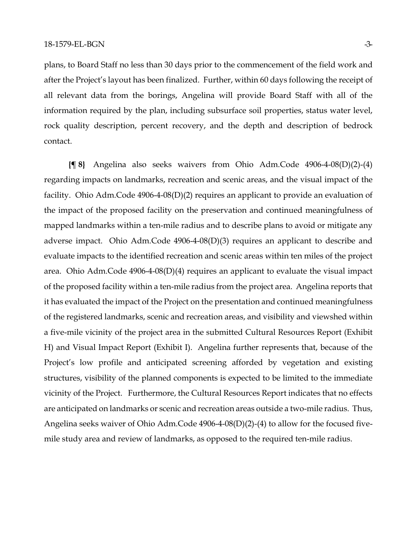plans, to Board Staff no less than 30 days prior to the commencement of the field work and after the Project's layout has been finalized. Further, within 60 days following the receipt of all relevant data from the borings, Angelina will provide Board Staff with all of the information required by the plan, including subsurface soil properties, status water level, rock quality description, percent recovery, and the depth and description of bedrock contact.

**{¶ 8}** Angelina also seeks waivers from Ohio Adm.Code 4906-4-08(D)(2)-(4) regarding impacts on landmarks, recreation and scenic areas, and the visual impact of the facility. Ohio Adm.Code 4906-4-08(D)(2) requires an applicant to provide an evaluation of the impact of the proposed facility on the preservation and continued meaningfulness of mapped landmarks within a ten-mile radius and to describe plans to avoid or mitigate any adverse impact. Ohio Adm.Code 4906-4-08(D)(3) requires an applicant to describe and evaluate impacts to the identified recreation and scenic areas within ten miles of the project area. Ohio Adm.Code 4906-4-08(D)(4) requires an applicant to evaluate the visual impact of the proposed facility within a ten-mile radius from the project area. Angelina reports that it has evaluated the impact of the Project on the presentation and continued meaningfulness of the registered landmarks, scenic and recreation areas, and visibility and viewshed within a five-mile vicinity of the project area in the submitted Cultural Resources Report (Exhibit H) and Visual Impact Report (Exhibit I). Angelina further represents that, because of the Project's low profile and anticipated screening afforded by vegetation and existing structures, visibility of the planned components is expected to be limited to the immediate vicinity of the Project. Furthermore, the Cultural Resources Report indicates that no effects are anticipated on landmarks or scenic and recreation areas outside a two-mile radius. Thus, Angelina seeks waiver of Ohio Adm.Code 4906-4-08(D)(2)-(4) to allow for the focused fivemile study area and review of landmarks, as opposed to the required ten-mile radius.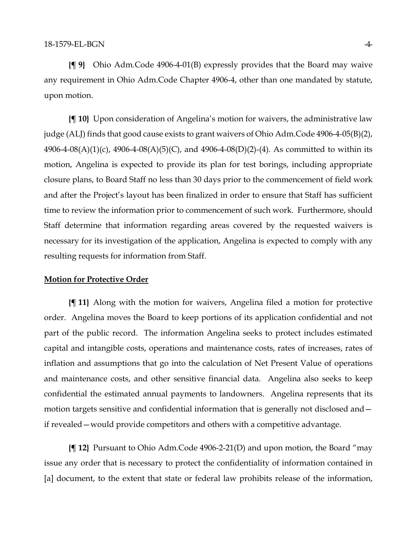**{¶ 9}** Ohio Adm.Code 4906-4-01(B) expressly provides that the Board may waive any requirement in Ohio Adm.Code Chapter 4906-4, other than one mandated by statute, upon motion.

**{¶ 10}** Upon consideration of Angelina's motion for waivers, the administrative law judge (ALJ) finds that good cause exists to grant waivers of Ohio Adm.Code 4906-4-05(B)(2), 4906-4-08(A)(1)(c), 4906-4-08(A)(5)(C), and 4906-4-08(D)(2)-(4). As committed to within its motion, Angelina is expected to provide its plan for test borings, including appropriate closure plans, to Board Staff no less than 30 days prior to the commencement of field work and after the Project's layout has been finalized in order to ensure that Staff has sufficient time to review the information prior to commencement of such work. Furthermore, should Staff determine that information regarding areas covered by the requested waivers is necessary for its investigation of the application, Angelina is expected to comply with any resulting requests for information from Staff.

## **Motion for Protective Order**

**{¶ 11}** Along with the motion for waivers, Angelina filed a motion for protective order. Angelina moves the Board to keep portions of its application confidential and not part of the public record. The information Angelina seeks to protect includes estimated capital and intangible costs, operations and maintenance costs, rates of increases, rates of inflation and assumptions that go into the calculation of Net Present Value of operations and maintenance costs, and other sensitive financial data. Angelina also seeks to keep confidential the estimated annual payments to landowners. Angelina represents that its motion targets sensitive and confidential information that is generally not disclosed and if revealed—would provide competitors and others with a competitive advantage.

**{¶ 12}** Pursuant to Ohio Adm.Code 4906-2-21(D) and upon motion, the Board "may issue any order that is necessary to protect the confidentiality of information contained in [a] document, to the extent that state or federal law prohibits release of the information,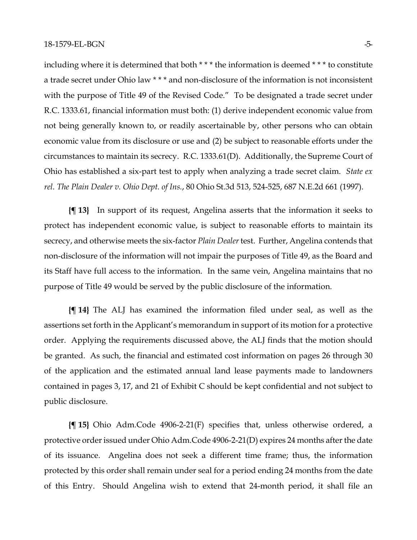including where it is determined that both \* \* \* the information is deemed \* \* \* to constitute a trade secret under Ohio law \* \* \* and non-disclosure of the information is not inconsistent with the purpose of Title 49 of the Revised Code." To be designated a trade secret under R.C. 1333.61, financial information must both: (1) derive independent economic value from not being generally known to, or readily ascertainable by, other persons who can obtain economic value from its disclosure or use and (2) be subject to reasonable efforts under the circumstances to maintain its secrecy. R.C. 1333.61(D). Additionally, the Supreme Court of Ohio has established a six-part test to apply when analyzing a trade secret claim. *State ex rel. The Plain Dealer v. Ohio Dept. of Ins.*, 80 Ohio St.3d 513, 524-525, 687 N.E.2d 661 (1997).

**{¶ 13}** In support of its request, Angelina asserts that the information it seeks to protect has independent economic value, is subject to reasonable efforts to maintain its secrecy, and otherwise meets the six-factor *Plain Dealer* test. Further, Angelina contends that non-disclosure of the information will not impair the purposes of Title 49, as the Board and its Staff have full access to the information. In the same vein, Angelina maintains that no purpose of Title 49 would be served by the public disclosure of the information.

**{¶ 14}** The ALJ has examined the information filed under seal, as well as the assertions set forth in the Applicant's memorandum in support of its motion for a protective order. Applying the requirements discussed above, the ALJ finds that the motion should be granted. As such, the financial and estimated cost information on pages 26 through 30 of the application and the estimated annual land lease payments made to landowners contained in pages 3, 17, and 21 of Exhibit C should be kept confidential and not subject to public disclosure.

**{¶ 15}** Ohio Adm.Code 4906-2-21(F) specifies that, unless otherwise ordered, a protective order issued under Ohio Adm.Code 4906-2-21(D) expires 24 months after the date of its issuance. Angelina does not seek a different time frame; thus, the information protected by this order shall remain under seal for a period ending 24 months from the date of this Entry. Should Angelina wish to extend that 24-month period, it shall file an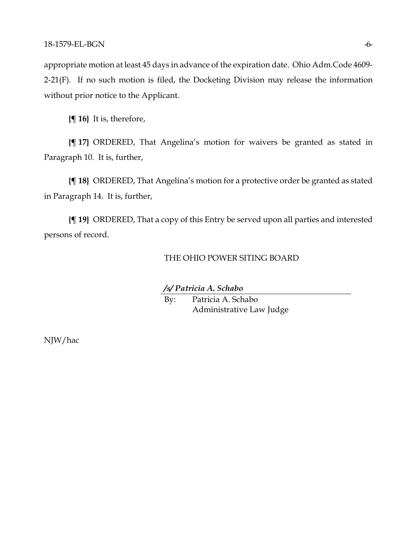appropriate motion at least 45 days in advance of the expiration date. Ohio Adm.Code 4609- 2-21(F). If no such motion is filed, the Docketing Division may release the information without prior notice to the Applicant.

**{¶ 16}** It is, therefore,

**{¶ 17}** ORDERED, That Angelina's motion for waivers be granted as stated in Paragraph 10. It is, further,

**{¶ 18}** ORDERED, That Angelina's motion for a protective order be granted as stated in Paragraph 14. It is, further,

**{¶ 19}** ORDERED, That a copy of this Entry be served upon all parties and interested persons of record.

## THE OHIO POWER SITING BOARD

*/s/ Patricia A. Schabo*

By: Patricia A. Schabo Administrative Law Judge

NJW/hac